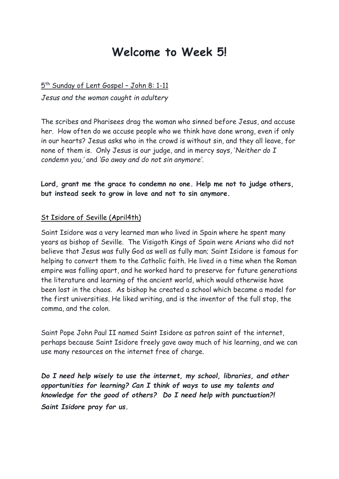## **Welcome to Week 5!**

5<sup>th</sup> Sunday of Lent Gospel - John 8: 1-11 *Jesus and the woman caught in adultery*

The scribes and Pharisees drag the woman who sinned before Jesus, and accuse her. How often do we accuse people who we think have done wrong, even if only in our hearts? Jesus asks who in the crowd is without sin, and they all leave, for none of them is. Only Jesus is our judge, and in mercy says, '*Neither do I condemn you,'* and *'Go away and do not sin anymore'*.

**Lord, grant me the grace to condemn no one. Help me not to judge others, but instead seek to grow in love and not to sin anymore.** 

## St Isidore of Seville (April4th)

Saint Isidore was a very learned man who lived in Spain where he spent many years as bishop of Seville. The Visigoth Kings of Spain were Arians who did not believe that Jesus was fully God as well as fully man; Saint Isidore is famous for helping to convert them to the Catholic faith. He lived in a time when the Roman empire was falling apart, and he worked hard to preserve for future generations the literature and learning of the ancient world, which would otherwise have been lost in the chaos. As bishop he created a school which became a model for the first universities. He liked writing, and is the inventor of the full stop, the comma, and the colon.

Saint Pope John Paul II named Saint Isidore as patron saint of the internet, perhaps because Saint Isidore freely gave away much of his learning, and we can use many resources on the internet free of charge.

*Do I need help wisely to use the internet, my school, libraries, and other opportunities for learning? Can I think of ways to use my talents and knowledge for the good of others? Do I need help with punctuation?! Saint Isidore pray for us.*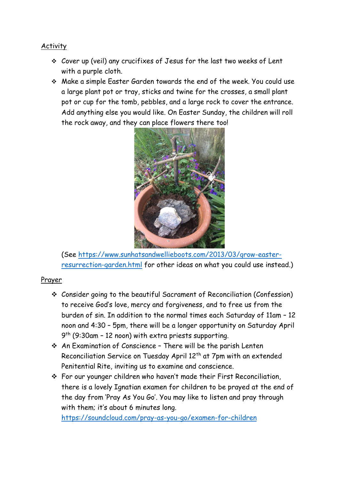## **Activity**

- ❖ Cover up (veil) any crucifixes of Jesus for the last two weeks of Lent with a purple cloth.
- ❖ Make a simple Easter Garden towards the end of the week. You could use a large plant pot or tray, sticks and twine for the crosses, a small plant pot or cup for the tomb, pebbles, and a large rock to cover the entrance. Add anything else you would like. On Easter Sunday, the children will roll the rock away, and they can place flowers there too!



(See [https://www.sunhatsandwellieboots.com/2013/03/grow-easter](https://www.sunhatsandwellieboots.com/2013/03/grow-easter-resurrection-garden.html)[resurrection-garden.html](https://www.sunhatsandwellieboots.com/2013/03/grow-easter-resurrection-garden.html) for other ideas on what you could use instead.)

## Prayer

- ❖ Consider going to the beautiful Sacrament of Reconciliation (Confession) to receive God's love, mercy and forgiveness, and to free us from the burden of sin. In addition to the normal times each Saturday of 11am – 12 noon and 4:30 – 5pm, there will be a longer opportunity on Saturday April 9 th (9:30am – 12 noon) with extra priests supporting.
- ❖ An Examination of Conscience There will be the parish Lenten Reconciliation Service on Tuesday April 12<sup>th</sup> at 7pm with an extended Penitential Rite, inviting us to examine and conscience.
- ❖ For our younger children who haven't made their First Reconciliation, there is a lovely Ignatian examen for children to be prayed at the end of the day from 'Pray As You Go'. You may like to listen and pray through with them; it's about 6 minutes long.

<https://soundcloud.com/pray-as-you-go/examen-for-children>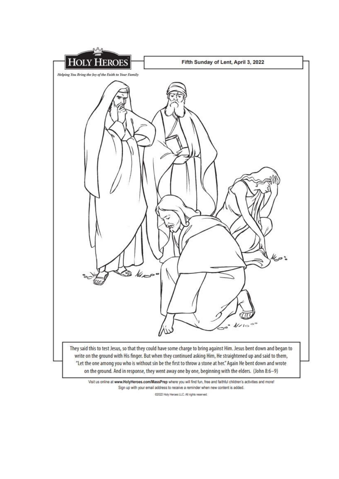

Visit us online at www.HolyHeroes.com/MassPrep where you will find fun, free and faithful children's activities and more! Sign up with your email address to receive a reminder when new content is added.

02022 Holy Heroes LLC. All rights reserved.